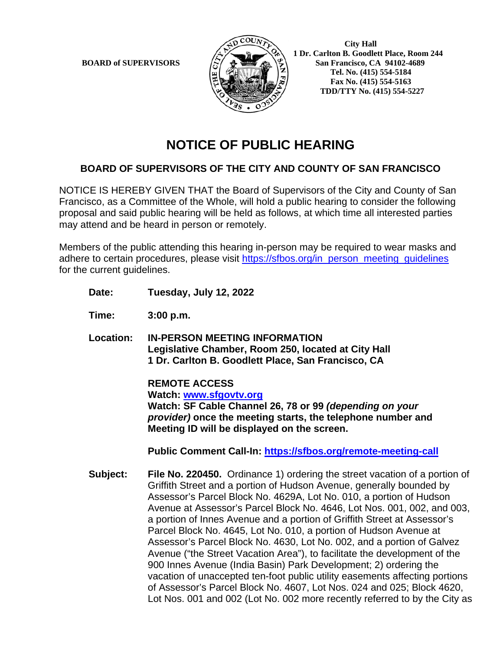

 **City Hall 1 Dr. Carlton B. Goodlett Place, Room 244 BOARD** of SUPERVISORS  $\left(\frac{S}{I}\right)$   $\oplus$   $\left(\frac{S}{I}\right)$  San Francisco, CA 94102-4689  **Tel. No. (415) 554-5184 Fax No. (415) 554-5163 TDD/TTY No. (415) 554-5227**

# **NOTICE OF PUBLIC HEARING**

## **BOARD OF SUPERVISORS OF THE CITY AND COUNTY OF SAN FRANCISCO**

NOTICE IS HEREBY GIVEN THAT the Board of Supervisors of the City and County of San Francisco, as a Committee of the Whole, will hold a public hearing to consider the following proposal and said public hearing will be held as follows, at which time all interested parties may attend and be heard in person or remotely.

Members of the public attending this hearing in-person may be required to wear masks and adhere to certain procedures, please visit [https://sfbos.org/in\\_person\\_meeting\\_guidelines](https://sfbos.org/in_person_meeting_guidelines) for the current guidelines.

- **Date: Tuesday, July 12, 2022**
- **Time: 3:00 p.m.**
- **Location: IN-PERSON MEETING INFORMATION Legislative Chamber, Room 250, located at City Hall 1 Dr. Carlton B. Goodlett Place, San Francisco, CA**

**REMOTE ACCESS Watch: [www.sfgovtv.org](http://www.sfgovtv.org/) Watch: SF Cable Channel 26, 78 or 99** *(depending on your provider)* **once the meeting starts, the telephone number and Meeting ID will be displayed on the screen.**

**Public Comment Call-In:<https://sfbos.org/remote-meeting-call>**

**Subject: File No. 220450.** Ordinance 1) ordering the street vacation of a portion of Griffith Street and a portion of Hudson Avenue, generally bounded by Assessor's Parcel Block No. 4629A, Lot No. 010, a portion of Hudson Avenue at Assessor's Parcel Block No. 4646, Lot Nos. 001, 002, and 003, a portion of Innes Avenue and a portion of Griffith Street at Assessor's Parcel Block No. 4645, Lot No. 010, a portion of Hudson Avenue at Assessor's Parcel Block No. 4630, Lot No. 002, and a portion of Galvez Avenue ("the Street Vacation Area"), to facilitate the development of the 900 Innes Avenue (India Basin) Park Development; 2) ordering the vacation of unaccepted ten-foot public utility easements affecting portions of Assessor's Parcel Block No. 4607, Lot Nos. 024 and 025; Block 4620, Lot Nos. 001 and 002 (Lot No. 002 more recently referred to by the City as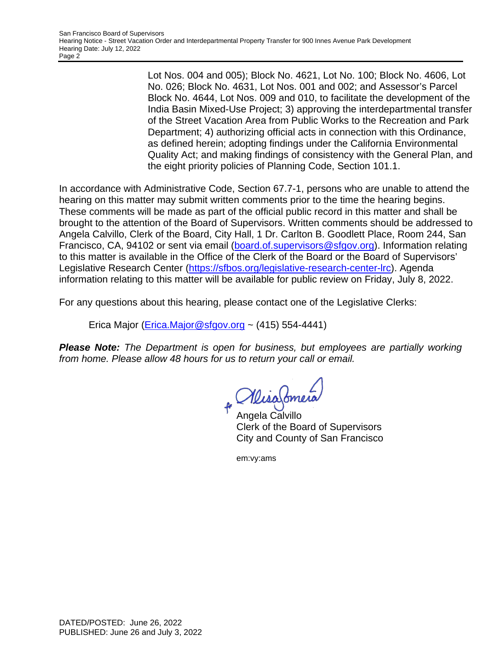Lot Nos. 004 and 005); Block No. 4621, Lot No. 100; Block No. 4606, Lot No. 026; Block No. 4631, Lot Nos. 001 and 002; and Assessor's Parcel Block No. 4644, Lot Nos. 009 and 010, to facilitate the development of the India Basin Mixed-Use Project; 3) approving the interdepartmental transfer of the Street Vacation Area from Public Works to the Recreation and Park Department; 4) authorizing official acts in connection with this Ordinance, as defined herein; adopting findings under the California Environmental Quality Act; and making findings of consistency with the General Plan, and the eight priority policies of Planning Code, Section 101.1.

In accordance with Administrative Code, Section 67.7-1, persons who are unable to attend the hearing on this matter may submit written comments prior to the time the hearing begins. These comments will be made as part of the official public record in this matter and shall be brought to the attention of the Board of Supervisors. Written comments should be addressed to Angela Calvillo, Clerk of the Board, City Hall, 1 Dr. Carlton B. Goodlett Place, Room 244, San Francisco, CA, 94102 or sent via email [\(board.of.supervisors@sfgov.org\)](mailto:board.of.supervisors@sfgov.org). Information relating to this matter is available in the Office of the Clerk of the Board or the Board of Supervisors' Legislative Research Center [\(https://sfbos.org/legislative-research-center-lrc\)](https://sfbos.org/legislative-research-center-lrc). Agenda information relating to this matter will be available for public review on Friday, July 8, 2022.

For any questions about this hearing, please contact one of the Legislative Clerks:

Erica Major [\(Erica.Major@sfgov.org](mailto:Erica.Major@sfgov.org) ~ (415) 554-4441)

*Please Note: The Department is open for business, but employees are partially working from home. Please allow 48 hours for us to return your call or email.* 

Angela Calvillo

Clerk of the Board of Supervisors City and County of San Francisco

em:vy:ams